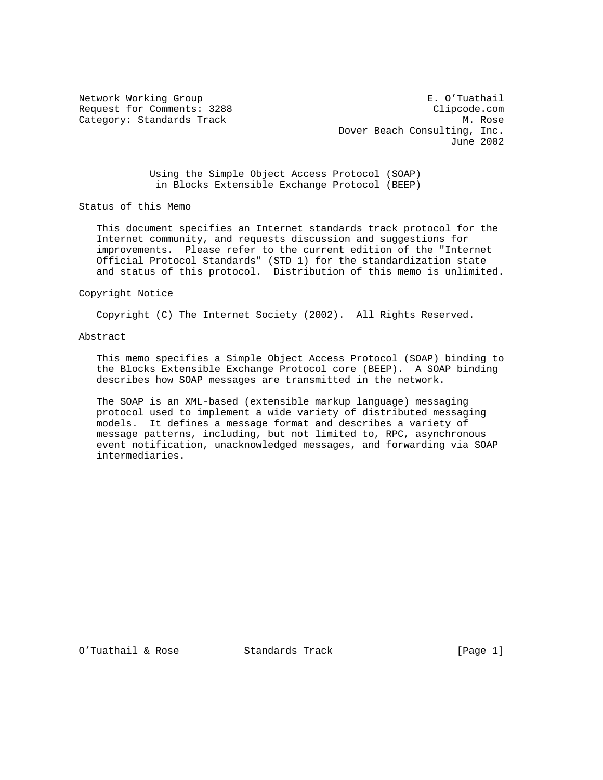Network Working Group **E. O'Tuathail** Request for Comments: 3288 Clipcode.com Category: Standards Track M. Rose M. Rose Dover Beach Consulting, Inc. June 2002

> Using the Simple Object Access Protocol (SOAP) in Blocks Extensible Exchange Protocol (BEEP)

Status of this Memo

 This document specifies an Internet standards track protocol for the Internet community, and requests discussion and suggestions for improvements. Please refer to the current edition of the "Internet Official Protocol Standards" (STD 1) for the standardization state and status of this protocol. Distribution of this memo is unlimited.

Copyright Notice

Copyright (C) The Internet Society (2002). All Rights Reserved.

# Abstract

 This memo specifies a Simple Object Access Protocol (SOAP) binding to the Blocks Extensible Exchange Protocol core (BEEP). A SOAP binding describes how SOAP messages are transmitted in the network.

 The SOAP is an XML-based (extensible markup language) messaging protocol used to implement a wide variety of distributed messaging models. It defines a message format and describes a variety of message patterns, including, but not limited to, RPC, asynchronous event notification, unacknowledged messages, and forwarding via SOAP intermediaries.

O'Tuathail & Rose Standards Track [Page 1]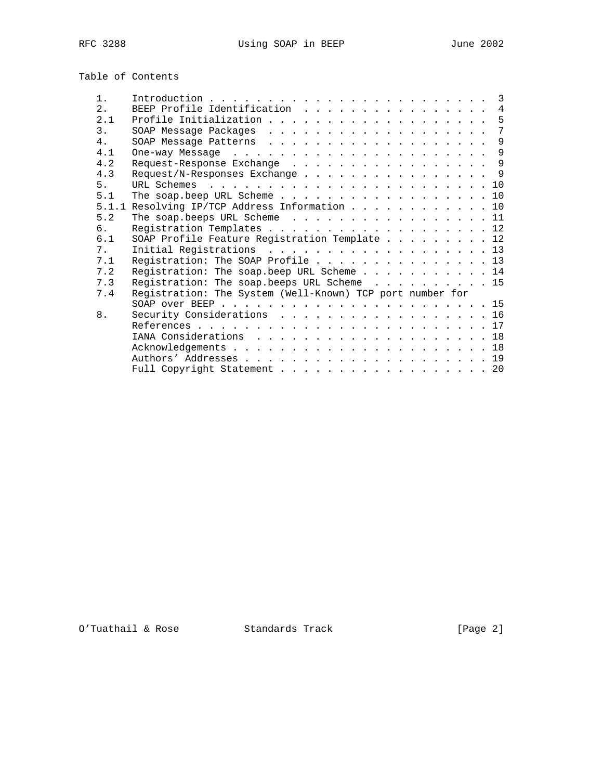| Table of Contents |  |
|-------------------|--|
|-------------------|--|

| $1$ .          |                                                           |   |
|----------------|-----------------------------------------------------------|---|
| 2.1            | BEEP Profile Identification 4                             |   |
| 2.1            | Profile Initialization 5                                  |   |
| 3.             |                                                           | 7 |
| 4 <sub>1</sub> | SOAP Message Patterns 9                                   |   |
| 4.1            |                                                           |   |
| 4.2            | Request-Response Exchange 9                               |   |
| 4.3            | Request/N-Responses Exchange 9                            |   |
| 5 <sub>1</sub> |                                                           |   |
| 5.1            | The soap beep URL Scheme 10                               |   |
|                | 5.1.1 Resolving IP/TCP Address Information 10             |   |
| 5.2            | The soap.beeps URL Scheme 11                              |   |
| რ.             | Registration Templates 12                                 |   |
| 6.1            | SOAP Profile Feature Registration Template 12             |   |
| 7 <sub>1</sub> | Initial Registrations 13                                  |   |
| 7.1            | Registration: The SOAP Profile 13                         |   |
| 7.2            | Registration: The soap.beep URL Scheme 14                 |   |
| 7.3            | Registration: The soap.beeps URL Scheme 15                |   |
| 7.4            | Registration: The System (Well-Known) TCP port number for |   |
|                |                                                           |   |
| 8.             | Security Considerations 16                                |   |
|                |                                                           |   |
|                | IANA Considerations 18                                    |   |
|                |                                                           |   |
|                |                                                           |   |
|                | Full Copyright Statement 20                               |   |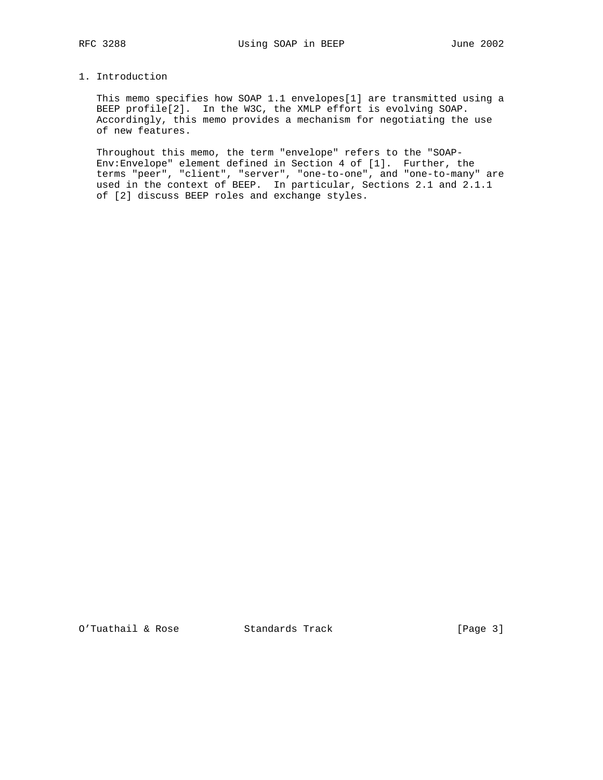# 1. Introduction

 This memo specifies how SOAP 1.1 envelopes[1] are transmitted using a BEEP profile[2]. In the W3C, the XMLP effort is evolving SOAP. Accordingly, this memo provides a mechanism for negotiating the use of new features.

 Throughout this memo, the term "envelope" refers to the "SOAP- Env:Envelope" element defined in Section 4 of [1]. Further, the terms "peer", "client", "server", "one-to-one", and "one-to-many" are used in the context of BEEP. In particular, Sections 2.1 and 2.1.1 of [2] discuss BEEP roles and exchange styles.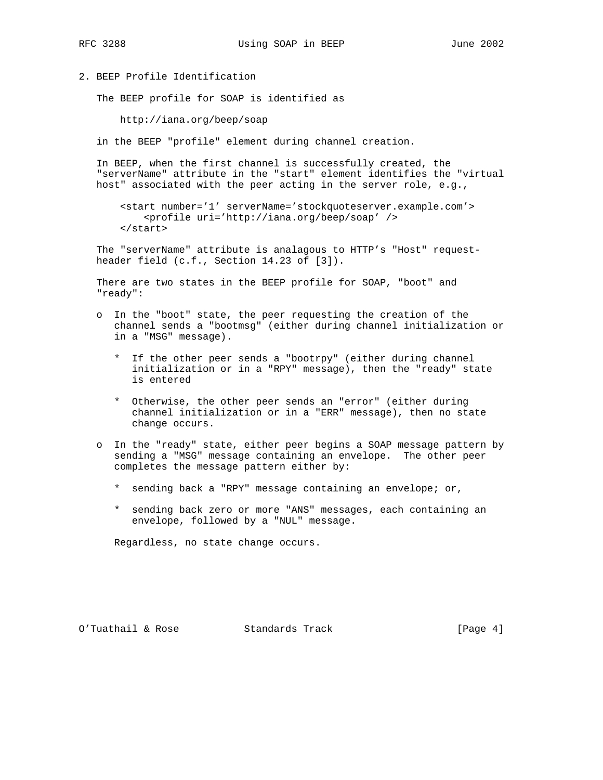### 2. BEEP Profile Identification

The BEEP profile for SOAP is identified as

http://iana.org/beep/soap

in the BEEP "profile" element during channel creation.

 In BEEP, when the first channel is successfully created, the "serverName" attribute in the "start" element identifies the "virtual host" associated with the peer acting in the server role, e.g.,

 <start number='1' serverName='stockquoteserver.example.com'> <profile uri='http://iana.org/beep/soap' /> </start>

 The "serverName" attribute is analagous to HTTP's "Host" request header field (c.f., Section 14.23 of [3]).

 There are two states in the BEEP profile for SOAP, "boot" and "ready":

- o In the "boot" state, the peer requesting the creation of the channel sends a "bootmsg" (either during channel initialization or in a "MSG" message).
	- \* If the other peer sends a "bootrpy" (either during channel initialization or in a "RPY" message), then the "ready" state is entered
	- \* Otherwise, the other peer sends an "error" (either during channel initialization or in a "ERR" message), then no state change occurs.
- o In the "ready" state, either peer begins a SOAP message pattern by sending a "MSG" message containing an envelope. The other peer completes the message pattern either by:
	- \* sending back a "RPY" message containing an envelope; or,
	- \* sending back zero or more "ANS" messages, each containing an envelope, followed by a "NUL" message.

Regardless, no state change occurs.

O'Tuathail & Rose Standards Track [Page 4]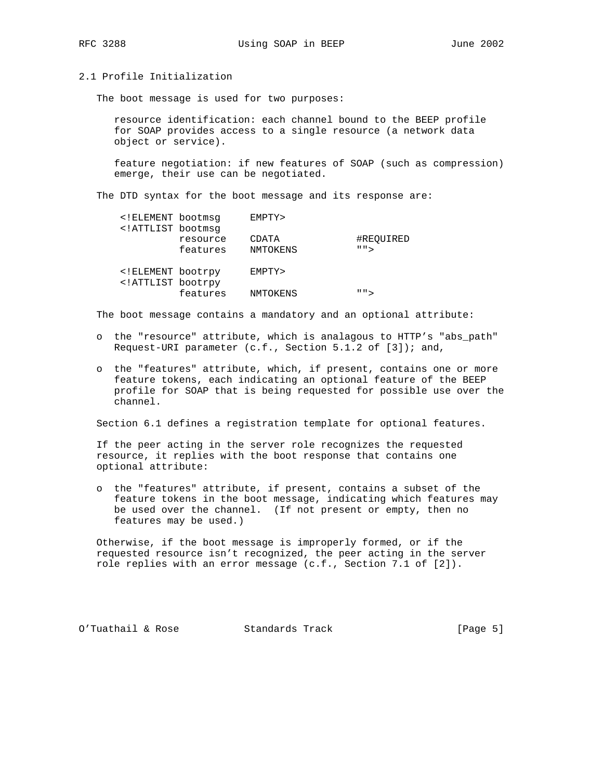### 2.1 Profile Initialization

The boot message is used for two purposes:

 resource identification: each channel bound to the BEEP profile for SOAP provides access to a single resource (a network data object or service).

 feature negotiation: if new features of SOAP (such as compression) emerge, their use can be negotiated.

The DTD syntax for the boot message and its response are:

| ELEMENT bootmsq</th <th></th> <th>EMPTY&gt;</th> <th></th>                                                |                      | EMPTY>            |                           |
|-----------------------------------------------------------------------------------------------------------|----------------------|-------------------|---------------------------|
| ATTLIST bootmsg</td <td>resource<br/>features</td> <td>CDATA<br/>NMTOKENS</td> <td>#REOUIRED<br/>" "</td> | resource<br>features | CDATA<br>NMTOKENS | #REOUIRED<br>" "          |
| ELEMENT bootrpy<br ATTLIST bootrpy</td <td></td> <td>EMPTY&gt;</td> <td></td>                             |                      | EMPTY>            |                           |
|                                                                                                           | features             | NMTOKENS          | $\mathsf{H}$ $\mathsf{H}$ |

The boot message contains a mandatory and an optional attribute:

- o the "resource" attribute, which is analagous to HTTP's "abs\_path" Request-URI parameter (c.f., Section 5.1.2 of [3]); and,
- o the "features" attribute, which, if present, contains one or more feature tokens, each indicating an optional feature of the BEEP profile for SOAP that is being requested for possible use over the channel.

Section 6.1 defines a registration template for optional features.

 If the peer acting in the server role recognizes the requested resource, it replies with the boot response that contains one optional attribute:

 o the "features" attribute, if present, contains a subset of the feature tokens in the boot message, indicating which features may be used over the channel. (If not present or empty, then no features may be used.)

 Otherwise, if the boot message is improperly formed, or if the requested resource isn't recognized, the peer acting in the server role replies with an error message (c.f., Section 7.1 of [2]).

O'Tuathail & Rose Standards Track [Page 5]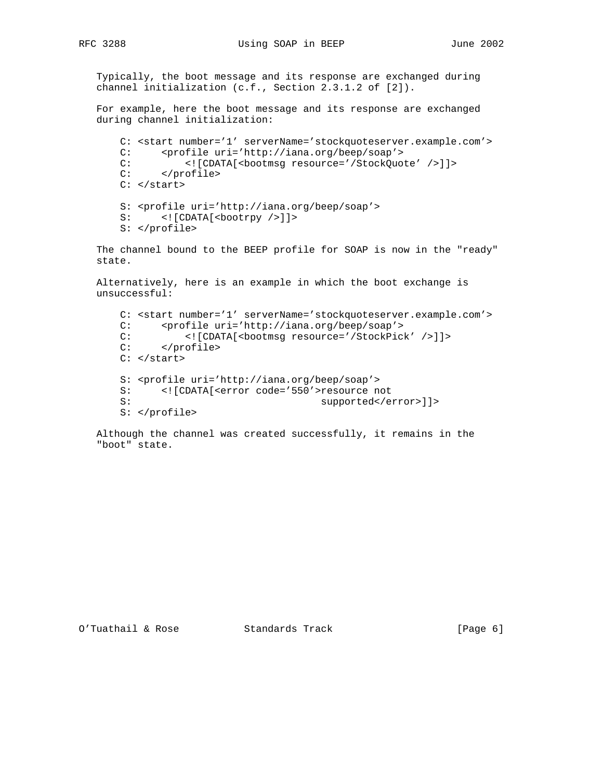Typically, the boot message and its response are exchanged during channel initialization (c.f., Section 2.3.1.2 of [2]).

 For example, here the boot message and its response are exchanged during channel initialization:

```
 C: <start number='1' serverName='stockquoteserver.example.com'>
 C: <profile uri='http://iana.org/beep/soap'>
C: <! [CDATA[<br/>bootmsg resource='/StockQuote' />]]>
 C: </profile>
C: </start>
 S: <profile uri='http://iana.org/beep/soap'>
S: <! [CDATA[<br/>bootrpy />]]>
 S: </profile>
```
 The channel bound to the BEEP profile for SOAP is now in the "ready" state.

 Alternatively, here is an example in which the boot exchange is unsuccessful:

```
 C: <start number='1' serverName='stockquoteserver.example.com'>
C: <profile uri='http://iana.org/beep/soap'><br>C: <{|CDATA|<br/>bootmsq resource='/StockPick
C: <! [CDATA[<br/>bootmsg resource='/StockPick' />]]> << </profile>
         C: </profile>
C: </start>
 S: <profile uri='http://iana.org/beep/soap'>
 S: <![CDATA[<error code='550'>resource not
                                       supported</error>]]>
 S: </profile>
```
 Although the channel was created successfully, it remains in the "boot" state.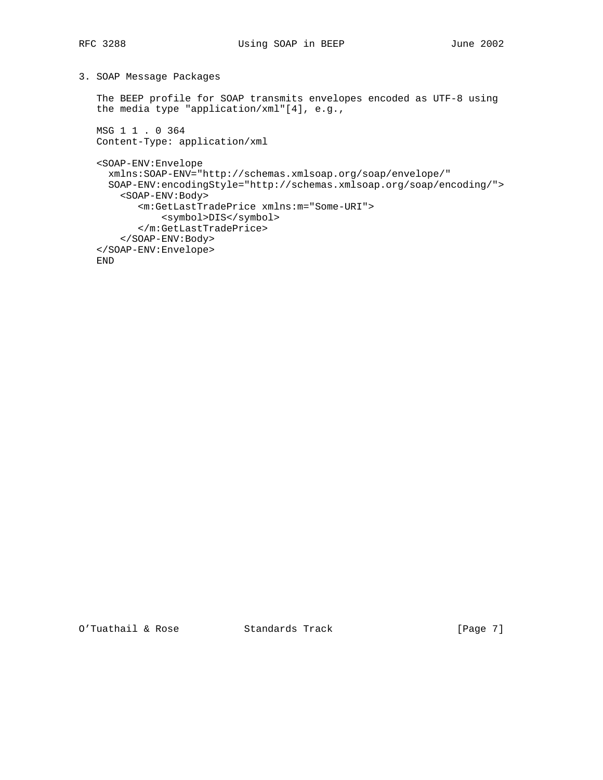# 3. SOAP Message Packages

 The BEEP profile for SOAP transmits envelopes encoded as UTF-8 using the media type "application/xml"[4], e.g.,

 MSG 1 1 . 0 364 Content-Type: application/xml

<SOAP-ENV:Envelope

```
 xmlns:SOAP-ENV="http://schemas.xmlsoap.org/soap/envelope/"
  SOAP-ENV:encodingStyle="http://schemas.xmlsoap.org/soap/encoding/">
    <SOAP-ENV:Body>
        <m:GetLastTradePrice xmlns:m="Some-URI">
            <symbol>DIS</symbol>
        </m:GetLastTradePrice>
     </SOAP-ENV:Body>
 </SOAP-ENV:Envelope>
 END
```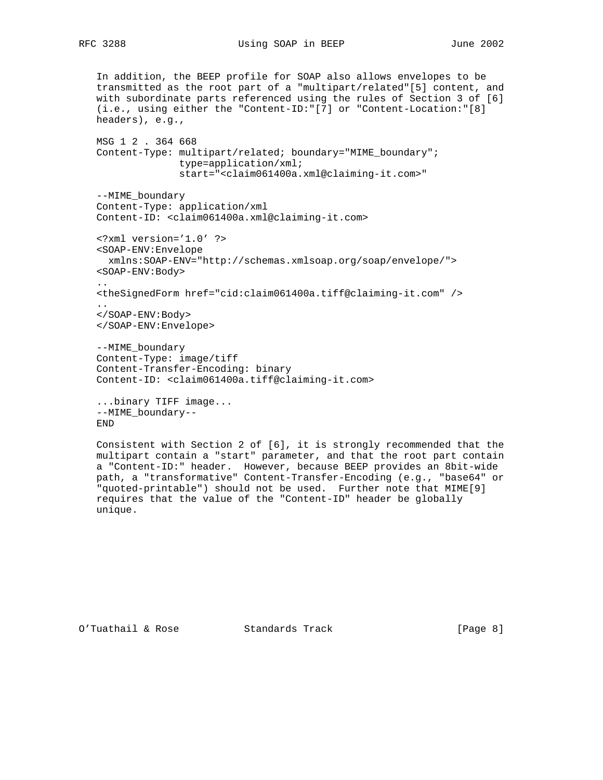In addition, the BEEP profile for SOAP also allows envelopes to be transmitted as the root part of a "multipart/related"[5] content, and with subordinate parts referenced using the rules of Section 3 of [6] (i.e., using either the "Content-ID:"[7] or "Content-Location:"[8] headers), e.g., MSG 1 2 . 364 668 Content-Type: multipart/related; boundary="MIME\_boundary"; type=application/xml; start="<claim061400a.xml@claiming-it.com>" --MIME\_boundary Content-Type: application/xml Content-ID: <claim061400a.xml@claiming-it.com> <?xml version='1.0' ?> <SOAP-ENV:Envelope xmlns:SOAP-ENV="http://schemas.xmlsoap.org/soap/envelope/"> <SOAP-ENV:Body> .. <theSignedForm href="cid:claim061400a.tiff@claiming-it.com" /> .. </SOAP-ENV:Body> </SOAP-ENV:Envelope> --MIME\_boundary Content-Type: image/tiff Content-Transfer-Encoding: binary Content-ID: <claim061400a.tiff@claiming-it.com> ...binary TIFF image... --MIME\_boundary-- END

 Consistent with Section 2 of [6], it is strongly recommended that the multipart contain a "start" parameter, and that the root part contain a "Content-ID:" header. However, because BEEP provides an 8bit-wide path, a "transformative" Content-Transfer-Encoding (e.g., "base64" or "quoted-printable") should not be used. Further note that MIME[9] requires that the value of the "Content-ID" header be globally unique.

O'Tuathail & Rose Standards Track [Page 8]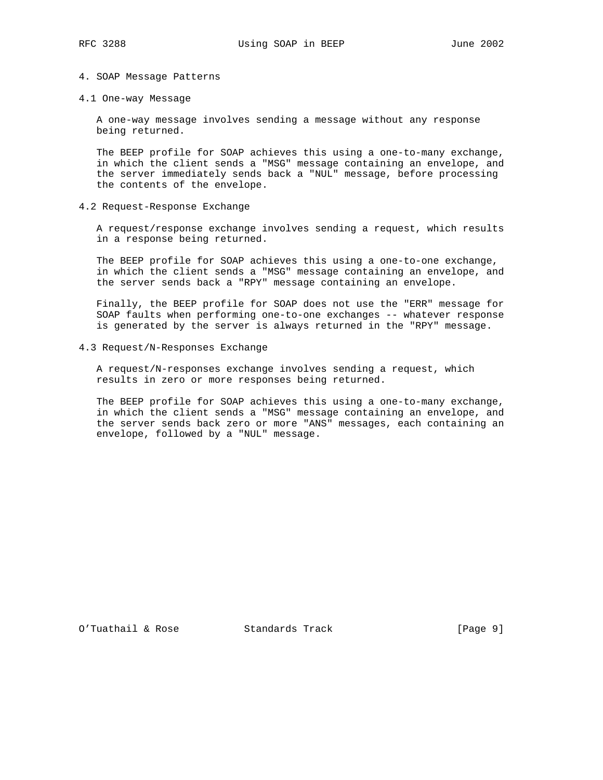### 4. SOAP Message Patterns

4.1 One-way Message

 A one-way message involves sending a message without any response being returned.

 The BEEP profile for SOAP achieves this using a one-to-many exchange, in which the client sends a "MSG" message containing an envelope, and the server immediately sends back a "NUL" message, before processing the contents of the envelope.

4.2 Request-Response Exchange

 A request/response exchange involves sending a request, which results in a response being returned.

 The BEEP profile for SOAP achieves this using a one-to-one exchange, in which the client sends a "MSG" message containing an envelope, and the server sends back a "RPY" message containing an envelope.

 Finally, the BEEP profile for SOAP does not use the "ERR" message for SOAP faults when performing one-to-one exchanges -- whatever response is generated by the server is always returned in the "RPY" message.

4.3 Request/N-Responses Exchange

 A request/N-responses exchange involves sending a request, which results in zero or more responses being returned.

 The BEEP profile for SOAP achieves this using a one-to-many exchange, in which the client sends a "MSG" message containing an envelope, and the server sends back zero or more "ANS" messages, each containing an envelope, followed by a "NUL" message.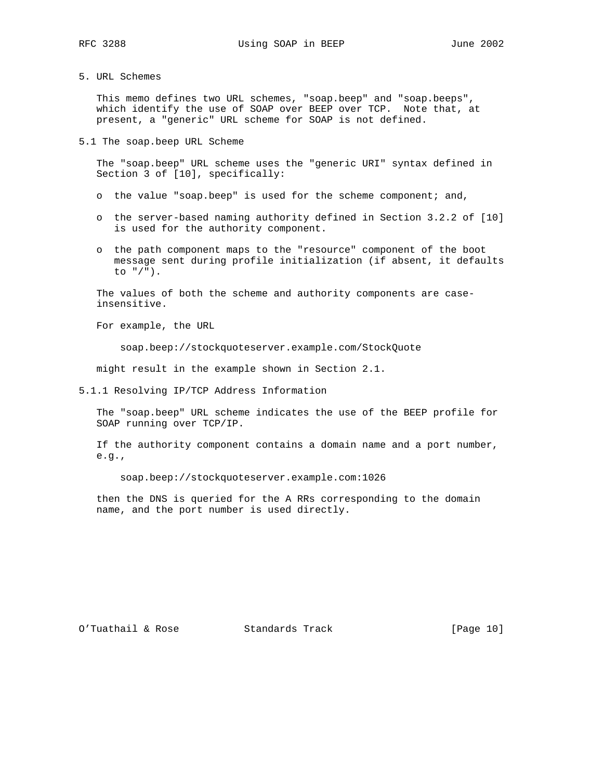5. URL Schemes

 This memo defines two URL schemes, "soap.beep" and "soap.beeps", which identify the use of SOAP over BEEP over TCP. Note that, at present, a "generic" URL scheme for SOAP is not defined.

5.1 The soap.beep URL Scheme

 The "soap.beep" URL scheme uses the "generic URI" syntax defined in Section 3 of [10], specifically:

- o the value "soap.beep" is used for the scheme component; and,
- o the server-based naming authority defined in Section 3.2.2 of [10] is used for the authority component.
- o the path component maps to the "resource" component of the boot message sent during profile initialization (if absent, it defaults to "/").

 The values of both the scheme and authority components are case insensitive.

For example, the URL

soap.beep://stockquoteserver.example.com/StockQuote

might result in the example shown in Section 2.1.

5.1.1 Resolving IP/TCP Address Information

 The "soap.beep" URL scheme indicates the use of the BEEP profile for SOAP running over TCP/IP.

 If the authority component contains a domain name and a port number, e.g.,

soap.beep://stockquoteserver.example.com:1026

 then the DNS is queried for the A RRs corresponding to the domain name, and the port number is used directly.

O'Tuathail & Rose Standards Track [Page 10]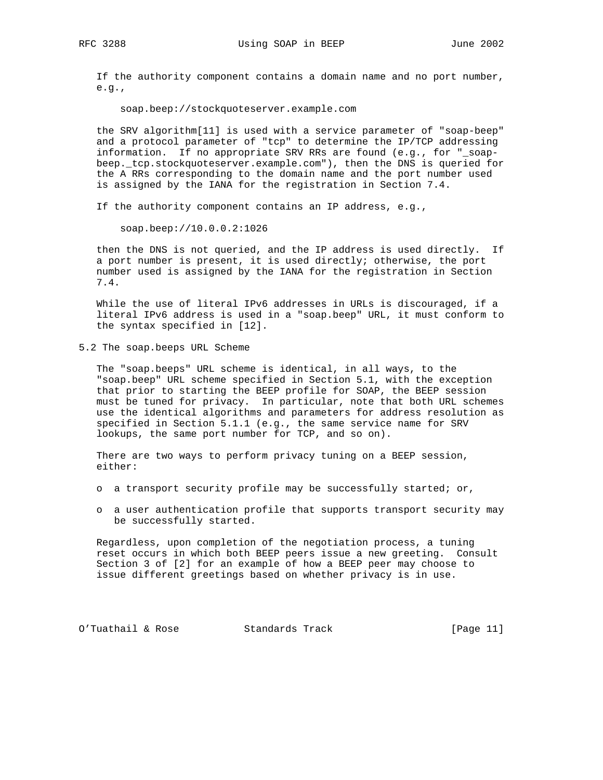If the authority component contains a domain name and no port number, e.g.,

soap.beep://stockquoteserver.example.com

 the SRV algorithm[11] is used with a service parameter of "soap-beep" and a protocol parameter of "tcp" to determine the IP/TCP addressing information. If no appropriate SRV RRs are found (e.g., for "\_soap beep.\_tcp.stockquoteserver.example.com"), then the DNS is queried for the A RRs corresponding to the domain name and the port number used is assigned by the IANA for the registration in Section 7.4.

If the authority component contains an IP address, e.g.,

soap.beep://10.0.0.2:1026

 then the DNS is not queried, and the IP address is used directly. If a port number is present, it is used directly; otherwise, the port number used is assigned by the IANA for the registration in Section 7.4.

 While the use of literal IPv6 addresses in URLs is discouraged, if a literal IPv6 address is used in a "soap.beep" URL, it must conform to the syntax specified in [12].

5.2 The soap.beeps URL Scheme

 The "soap.beeps" URL scheme is identical, in all ways, to the "soap.beep" URL scheme specified in Section 5.1, with the exception that prior to starting the BEEP profile for SOAP, the BEEP session must be tuned for privacy. In particular, note that both URL schemes use the identical algorithms and parameters for address resolution as specified in Section 5.1.1 (e.g., the same service name for SRV lookups, the same port number for TCP, and so on).

 There are two ways to perform privacy tuning on a BEEP session, either:

- o a transport security profile may be successfully started; or,
- o a user authentication profile that supports transport security may be successfully started.

 Regardless, upon completion of the negotiation process, a tuning reset occurs in which both BEEP peers issue a new greeting. Consult Section 3 of [2] for an example of how a BEEP peer may choose to issue different greetings based on whether privacy is in use.

O'Tuathail & Rose Standards Track [Page 11]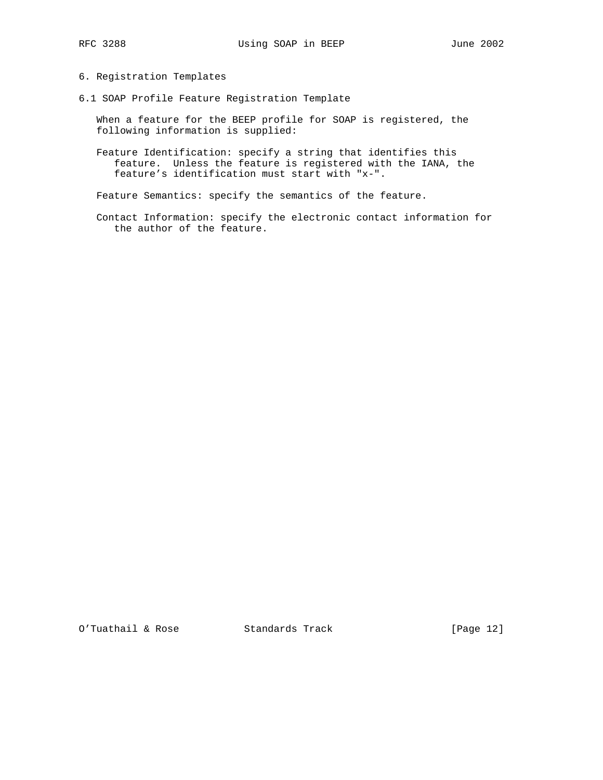# 6. Registration Templates

6.1 SOAP Profile Feature Registration Template

 When a feature for the BEEP profile for SOAP is registered, the following information is supplied:

 Feature Identification: specify a string that identifies this feature. Unless the feature is registered with the IANA, the feature's identification must start with "x-".

Feature Semantics: specify the semantics of the feature.

 Contact Information: specify the electronic contact information for the author of the feature.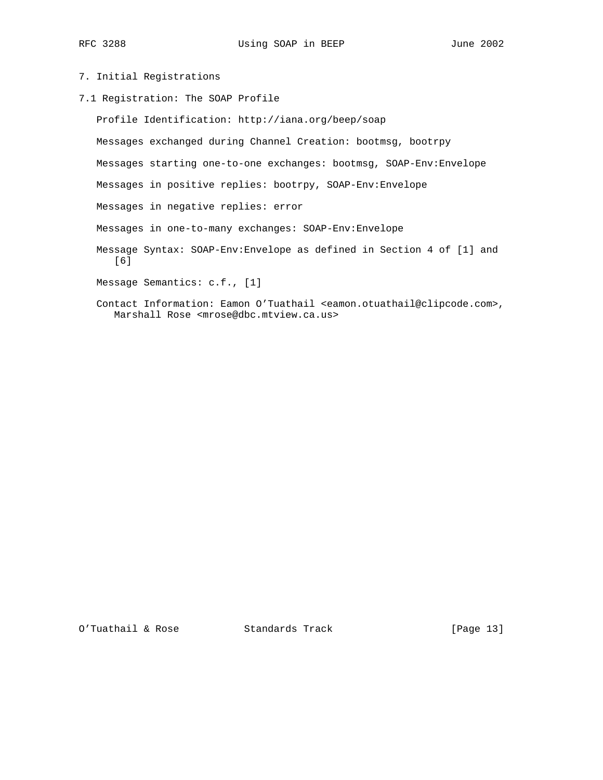RFC 3288 Using SOAP in BEEP June 2002

# 7. Initial Registrations

7.1 Registration: The SOAP Profile

 Profile Identification: http://iana.org/beep/soap Messages exchanged during Channel Creation: bootmsg, bootrpy Messages starting one-to-one exchanges: bootmsg, SOAP-Env:Envelope Messages in positive replies: bootrpy, SOAP-Env:Envelope Messages in negative replies: error Messages in one-to-many exchanges: SOAP-Env:Envelope Message Syntax: SOAP-Env:Envelope as defined in Section 4 of [1] and [6] Message Semantics: c.f., [1] Contact Information: Eamon O'Tuathail <eamon.otuathail@clipcode.com>, Marshall Rose <mrose@dbc.mtview.ca.us>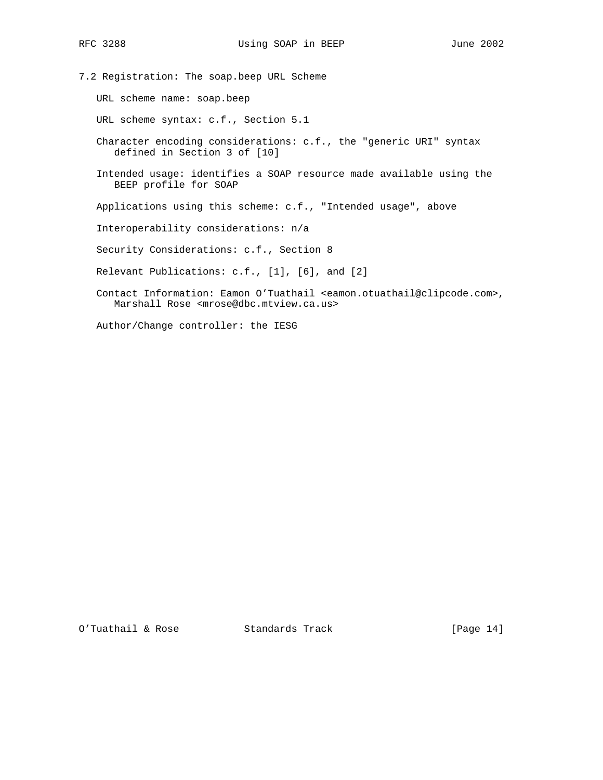7.2 Registration: The soap.beep URL Scheme

URL scheme name: soap.beep

URL scheme syntax: c.f., Section 5.1

 Character encoding considerations: c.f., the "generic URI" syntax defined in Section 3 of [10]

 Intended usage: identifies a SOAP resource made available using the BEEP profile for SOAP

Applications using this scheme: c.f., "Intended usage", above

Interoperability considerations: n/a

Security Considerations: c.f., Section 8

Relevant Publications: c.f., [1], [6], and [2]

 Contact Information: Eamon O'Tuathail <eamon.otuathail@clipcode.com>, Marshall Rose <mrose@dbc.mtview.ca.us>

Author/Change controller: the IESG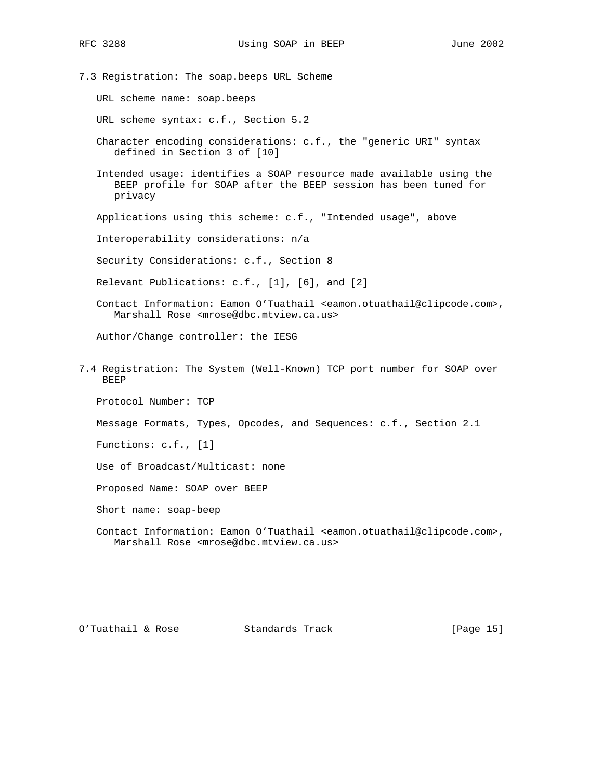7.3 Registration: The soap.beeps URL Scheme URL scheme name: soap.beeps URL scheme syntax: c.f., Section 5.2 Character encoding considerations: c.f., the "generic URI" syntax defined in Section 3 of [10] Intended usage: identifies a SOAP resource made available using the BEEP profile for SOAP after the BEEP session has been tuned for privacy Applications using this scheme: c.f., "Intended usage", above Interoperability considerations: n/a Security Considerations: c.f., Section 8 Relevant Publications: c.f., [1], [6], and [2] Contact Information: Eamon O'Tuathail <eamon.otuathail@clipcode.com>, Marshall Rose <mrose@dbc.mtview.ca.us> Author/Change controller: the IESG 7.4 Registration: The System (Well-Known) TCP port number for SOAP over BEEP Protocol Number: TCP Message Formats, Types, Opcodes, and Sequences: c.f., Section 2.1 Functions: c.f., [1] Use of Broadcast/Multicast: none Proposed Name: SOAP over BEEP Short name: soap-beep Contact Information: Eamon O'Tuathail <eamon.otuathail@clipcode.com>, Marshall Rose <mrose@dbc.mtview.ca.us>

O'Tuathail & Rose Standards Track [Page 15]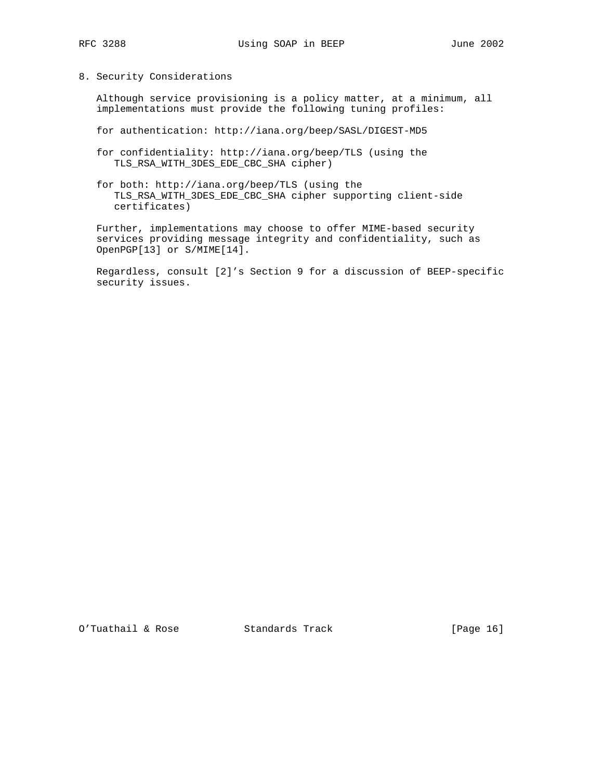# 8. Security Considerations

 Although service provisioning is a policy matter, at a minimum, all implementations must provide the following tuning profiles:

- for authentication: http://iana.org/beep/SASL/DIGEST-MD5
- for confidentiality: http://iana.org/beep/TLS (using the TLS\_RSA\_WITH\_3DES\_EDE\_CBC\_SHA cipher)
- for both: http://iana.org/beep/TLS (using the TLS\_RSA\_WITH\_3DES\_EDE\_CBC\_SHA cipher supporting client-side certificates)

 Further, implementations may choose to offer MIME-based security services providing message integrity and confidentiality, such as OpenPGP[13] or S/MIME[14].

 Regardless, consult [2]'s Section 9 for a discussion of BEEP-specific security issues.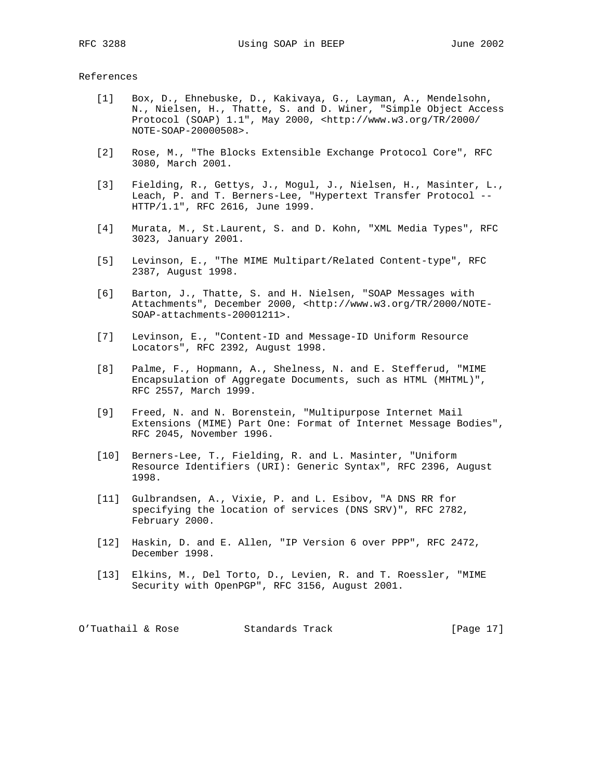#### References

- [1] Box, D., Ehnebuske, D., Kakivaya, G., Layman, A., Mendelsohn, N., Nielsen, H., Thatte, S. and D. Winer, "Simple Object Access Protocol (SOAP) 1.1", May 2000, <http://www.w3.org/TR/2000/ NOTE-SOAP-20000508>.
- [2] Rose, M., "The Blocks Extensible Exchange Protocol Core", RFC 3080, March 2001.
- [3] Fielding, R., Gettys, J., Mogul, J., Nielsen, H., Masinter, L., Leach, P. and T. Berners-Lee, "Hypertext Transfer Protocol -- HTTP/1.1", RFC 2616, June 1999.
- [4] Murata, M., St.Laurent, S. and D. Kohn, "XML Media Types", RFC 3023, January 2001.
- [5] Levinson, E., "The MIME Multipart/Related Content-type", RFC 2387, August 1998.
- [6] Barton, J., Thatte, S. and H. Nielsen, "SOAP Messages with Attachments", December 2000, <http://www.w3.org/TR/2000/NOTE- SOAP-attachments-20001211>.
- [7] Levinson, E., "Content-ID and Message-ID Uniform Resource Locators", RFC 2392, August 1998.
- [8] Palme, F., Hopmann, A., Shelness, N. and E. Stefferud, "MIME Encapsulation of Aggregate Documents, such as HTML (MHTML)", RFC 2557, March 1999.
- [9] Freed, N. and N. Borenstein, "Multipurpose Internet Mail Extensions (MIME) Part One: Format of Internet Message Bodies", RFC 2045, November 1996.
- [10] Berners-Lee, T., Fielding, R. and L. Masinter, "Uniform Resource Identifiers (URI): Generic Syntax", RFC 2396, August 1998.
- [11] Gulbrandsen, A., Vixie, P. and L. Esibov, "A DNS RR for specifying the location of services (DNS SRV)", RFC 2782, February 2000.
- [12] Haskin, D. and E. Allen, "IP Version 6 over PPP", RFC 2472, December 1998.
- [13] Elkins, M., Del Torto, D., Levien, R. and T. Roessler, "MIME Security with OpenPGP", RFC 3156, August 2001.

O'Tuathail & Rose Standards Track [Page 17]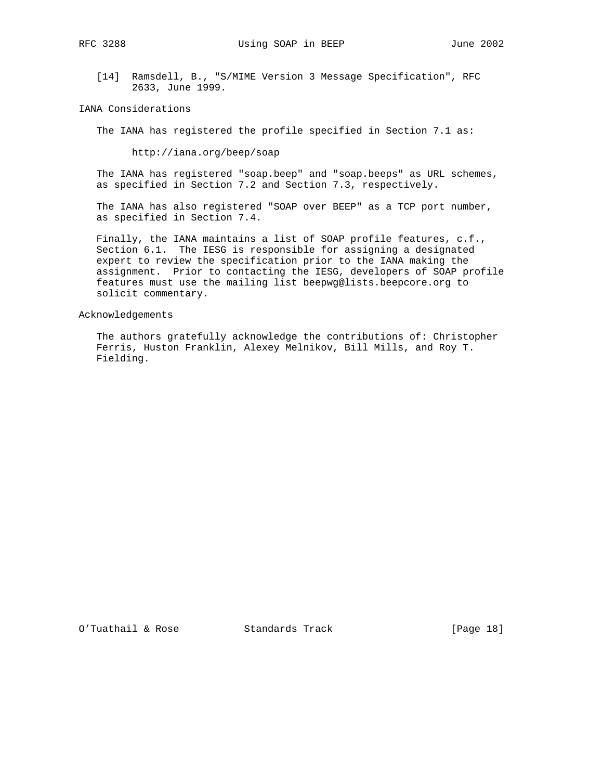[14] Ramsdell, B., "S/MIME Version 3 Message Specification", RFC 2633, June 1999.

IANA Considerations

The IANA has registered the profile specified in Section 7.1 as:

http://iana.org/beep/soap

 The IANA has registered "soap.beep" and "soap.beeps" as URL schemes, as specified in Section 7.2 and Section 7.3, respectively.

 The IANA has also registered "SOAP over BEEP" as a TCP port number, as specified in Section 7.4.

 Finally, the IANA maintains a list of SOAP profile features, c.f., Section 6.1. The IESG is responsible for assigning a designated expert to review the specification prior to the IANA making the assignment. Prior to contacting the IESG, developers of SOAP profile features must use the mailing list beepwg@lists.beepcore.org to solicit commentary.

Acknowledgements

 The authors gratefully acknowledge the contributions of: Christopher Ferris, Huston Franklin, Alexey Melnikov, Bill Mills, and Roy T. Fielding.

O'Tuathail & Rose Standards Track [Page 18]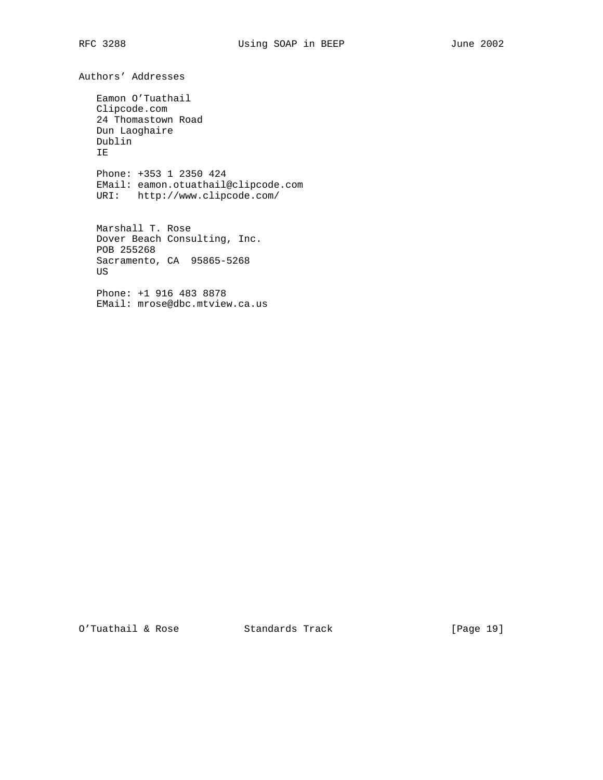Authors' Addresses

 Eamon O'Tuathail Clipcode.com 24 Thomastown Road Dun Laoghaire Dublin IE

 Phone: +353 1 2350 424 EMail: eamon.otuathail@clipcode.com URI: http://www.clipcode.com/

 Marshall T. Rose Dover Beach Consulting, Inc. POB 255268 Sacramento, CA 95865-5268 US

 Phone: +1 916 483 8878 EMail: mrose@dbc.mtview.ca.us